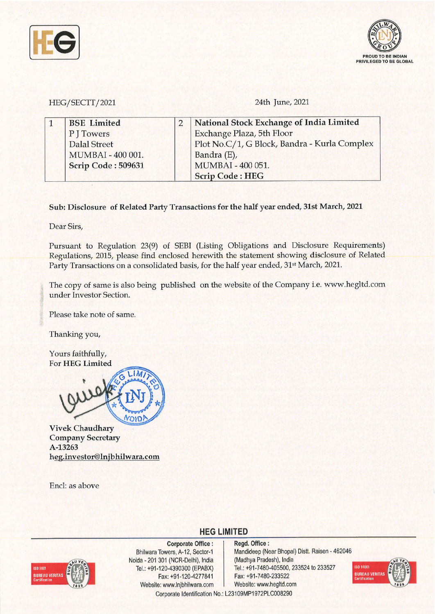



HEG/SECTI / 2021 24th June, 2021

| <b>BSE</b> Limited        | $\overline{2}$ | National Stock Exchange of India Limited     |
|---------------------------|----------------|----------------------------------------------|
| P J Towers                |                | <b>Exchange Plaza, 5th Floor</b>             |
| Dalal Street              |                | Plot No.C/1, G Block, Bandra - Kurla Complex |
| MUMBAI - 400 001.         |                | Bandra (E),                                  |
| <b>Scrip Code: 509631</b> |                | MUMBAI - 400 051.                            |
|                           |                | <b>Scrip Code: HEG</b>                       |

**Sub: Disclosure of Related Party Transactions for the half year ended, 31st March, 2021** 

Dear Sirs,

Pursuant to Regulation 23(9) of SEBI (Listing Obligations and Disclosure Requirements) Regulations, 2015, please find enclosed herewith the statement showing disclosure of Related Party Transactions on a consolidated basis, for the half year ended, 31st March, 2021.

The copy of same is also being published on the website of the Company i.e. www.hegltd.com under Investor Section.

Please take note of same.

Thanking you,

Yours faithfully, For **HEG Limited** 



**Vivek Chaudhary Company Secretary A-13263 heg.investor@lnjbhilwara.com** 

Encl: as above

**ISO 9001** UREAU VERITAS

**Corporate Office** : Bhilwara Towers, A-12, Sector-1 Noida - 201 301 (NCR-Delhi), India Tel.: +91-120-4390300 (EPABX) Fax: +91 -120-4277841 Website: www.lnjbhilwara.com Website: www.hegltd.com

**Regd. Office** : Mandideep (Near Bhopal) Distt. Raisen - 462046 (Madhya Pradesh), India Tel.: +91-7480-405500, 233524 to 233527 Fax: +91-7480-233522



Corporate Identification No.: L23109MP1972PLC008290

**HEG LIMITED**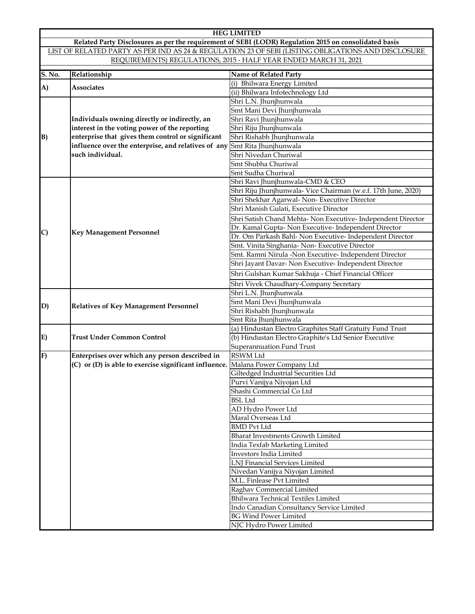|                                                                                                       | <b>HEG LIMITED</b>                                                                                 |                                                                |  |  |  |  |  |
|-------------------------------------------------------------------------------------------------------|----------------------------------------------------------------------------------------------------|----------------------------------------------------------------|--|--|--|--|--|
| Related Party Disclosures as per the requirement of SEBI (LODR) Regulation 2015 on consolidated basis |                                                                                                    |                                                                |  |  |  |  |  |
|                                                                                                       | LIST OF RELATED PARTY AS PER IND AS 24 & REGULATION 23 OF SEBI (LISTING OBLIGATIONS AND DISCLOSURE |                                                                |  |  |  |  |  |
| REQUIREMENTS) REGULATIONS, 2015 - HALF YEAR ENDED MARCH 31, 2021                                      |                                                                                                    |                                                                |  |  |  |  |  |
| S. No.                                                                                                | Relationship                                                                                       | Name of Related Party                                          |  |  |  |  |  |
|                                                                                                       |                                                                                                    | (i) Bhilwara Energy Limited                                    |  |  |  |  |  |
| A)                                                                                                    | Associates                                                                                         | (ii) Bhilwara Infotechnology Ltd                               |  |  |  |  |  |
|                                                                                                       |                                                                                                    | Shri L.N. Jhunjhunwala                                         |  |  |  |  |  |
|                                                                                                       |                                                                                                    | Smt Mani Devi Jhunjhunwala                                     |  |  |  |  |  |
|                                                                                                       | Individuals owning directly or indirectly, an                                                      | Shri Ravi Jhunjhunwala                                         |  |  |  |  |  |
|                                                                                                       | interest in the voting power of the reporting                                                      | Shri Riju Jhunjhunwala                                         |  |  |  |  |  |
| B)                                                                                                    | enterprise that gives them control or significant                                                  | Shri Rishabh Jhunjhunwala                                      |  |  |  |  |  |
|                                                                                                       | influence over the enterprise, and relatives of any                                                | Smt Rita Jhunjhunwala                                          |  |  |  |  |  |
|                                                                                                       | such individual.                                                                                   | Shri Nivedan Churiwal                                          |  |  |  |  |  |
|                                                                                                       |                                                                                                    | Smt Shubha Churiwal                                            |  |  |  |  |  |
|                                                                                                       |                                                                                                    | Smt Sudha Churiwal                                             |  |  |  |  |  |
|                                                                                                       |                                                                                                    | Shri Ravi Jhunjhunwala-CMD & CEO                               |  |  |  |  |  |
|                                                                                                       |                                                                                                    | Shri Riju Jhunjhunwala- Vice Chairman (w.e.f. 17th June, 2020) |  |  |  |  |  |
|                                                                                                       |                                                                                                    | Shri Shekhar Agarwal-Non-Executive Director                    |  |  |  |  |  |
|                                                                                                       |                                                                                                    | Shri Manish Gulati, Executive Director                         |  |  |  |  |  |
|                                                                                                       |                                                                                                    | Shri Satish Chand Mehta- Non Executive- Independent Director   |  |  |  |  |  |
|                                                                                                       |                                                                                                    | Dr. Kamal Gupta-Non Executive-Independent Director             |  |  |  |  |  |
| $\mathbf{C}$                                                                                          | <b>Key Management Personnel</b>                                                                    | Dr. Om Parkash Bahl- Non Executive- Independent Director       |  |  |  |  |  |
|                                                                                                       |                                                                                                    | Smt. Vinita Singhania- Non-Executive Director                  |  |  |  |  |  |
|                                                                                                       |                                                                                                    | Smt. Ramni Nirula -Non Executive- Independent Director         |  |  |  |  |  |
|                                                                                                       |                                                                                                    | Shri Jayant Davar- Non Executive- Independent Director         |  |  |  |  |  |
|                                                                                                       |                                                                                                    | Shri Gulshan Kumar Sakhuja - Chief Financial Officer           |  |  |  |  |  |
|                                                                                                       |                                                                                                    | Shri Vivek Chaudhary-Company Secretary                         |  |  |  |  |  |
|                                                                                                       |                                                                                                    | Shri L.N. Jhunjhunwala                                         |  |  |  |  |  |
|                                                                                                       |                                                                                                    | Smt Mani Devi Jhunjhunwala                                     |  |  |  |  |  |
| D)                                                                                                    | <b>Relatives of Key Management Personnel</b>                                                       | Shri Rishabh Jhunjhunwala                                      |  |  |  |  |  |
|                                                                                                       |                                                                                                    | Smt Rita Jhunjhunwala                                          |  |  |  |  |  |
|                                                                                                       |                                                                                                    | (a) Hindustan Electro Graphites Staff Gratuity Fund Trust      |  |  |  |  |  |
| E)                                                                                                    | <b>Trust Under Common Control</b>                                                                  | (b) Hindustan Electro Graphite's Ltd Senior Executive          |  |  |  |  |  |
|                                                                                                       |                                                                                                    | Superannuation Fund Trust                                      |  |  |  |  |  |
| F)                                                                                                    | Enterprises over which any person described in                                                     | RSWM Ltd                                                       |  |  |  |  |  |
|                                                                                                       | (C) or (D) is able to exercise significant influence.                                              | Malana Power Company Ltd                                       |  |  |  |  |  |
|                                                                                                       |                                                                                                    | Giltedged Industrial Securities Ltd                            |  |  |  |  |  |
|                                                                                                       |                                                                                                    | Purvi Vanijya Niyojan Ltd                                      |  |  |  |  |  |
|                                                                                                       |                                                                                                    | Shashi Commercial Co Ltd                                       |  |  |  |  |  |
|                                                                                                       |                                                                                                    | <b>BSL Ltd</b>                                                 |  |  |  |  |  |
|                                                                                                       |                                                                                                    | AD Hydro Power Ltd                                             |  |  |  |  |  |
|                                                                                                       |                                                                                                    | Maral Overseas Ltd                                             |  |  |  |  |  |
|                                                                                                       |                                                                                                    | <b>BMD Pvt Ltd</b>                                             |  |  |  |  |  |
|                                                                                                       |                                                                                                    | <b>Bharat Investments Growth Limited</b>                       |  |  |  |  |  |
|                                                                                                       |                                                                                                    | India Texfab Marketing Limited                                 |  |  |  |  |  |
|                                                                                                       |                                                                                                    | Investors India Limited                                        |  |  |  |  |  |
|                                                                                                       |                                                                                                    | <b>LNJ</b> Financial Services Limited                          |  |  |  |  |  |
|                                                                                                       |                                                                                                    | Nivedan Vanijya Niyojan Limited                                |  |  |  |  |  |
|                                                                                                       |                                                                                                    | M.L. Finlease Pvt Limited                                      |  |  |  |  |  |
|                                                                                                       |                                                                                                    | Raghav Commercial Limited                                      |  |  |  |  |  |
|                                                                                                       |                                                                                                    | Bhilwara Technical Textiles Limited                            |  |  |  |  |  |
|                                                                                                       |                                                                                                    | Indo Canadian Consultancy Service Limited                      |  |  |  |  |  |
|                                                                                                       |                                                                                                    | <b>BG Wind Power Limited</b>                                   |  |  |  |  |  |
|                                                                                                       |                                                                                                    | NJC Hydro Power Limited                                        |  |  |  |  |  |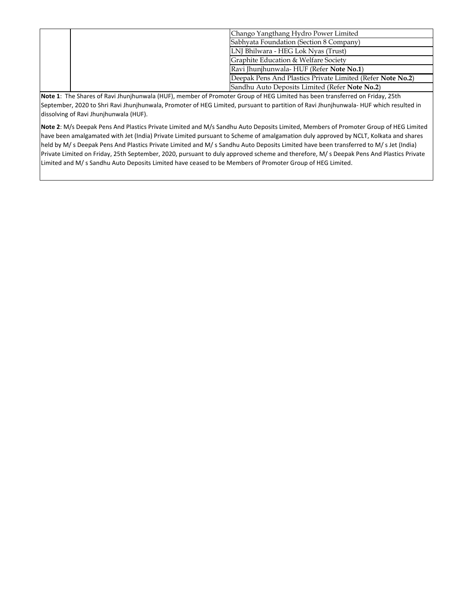| Chango Yangthang Hydro Power Limited                       |
|------------------------------------------------------------|
| Sabhyata Foundation (Section 8 Company)                    |
| LNI Bhilwara - HEG Lok Nyas (Trust)                        |
| Graphite Education & Welfare Society                       |
| Ravi Jhunjhunwala- HUF (Refer Note No.1)                   |
| Deepak Pens And Plastics Private Limited (Refer Note No.2) |
| Sandhu Auto Deposits Limited (Refer Note No.2)             |

**Note 1**: The Shares of Ravi Jhunjhunwala (HUF), member of Promoter Group of HEG Limited has been transferred on Friday, 25th September, 2020 to Shri Ravi Jhunjhunwala, Promoter of HEG Limited, pursuant to partition of Ravi Jhunjhunwala‐ HUF which resulted in dissolving of Ravi Jhunjhunwala (HUF).

**Note 2**: M/s Deepak Pens And Plastics Private Limited and M/s Sandhu Auto Deposits Limited, Members of Promoter Group of HEG Limited have been amalgamated with Jet (India) Private Limited pursuant to Scheme of amalgamation duly approved by NCLT, Kolkata and shares held by M/ s Deepak Pens And Plastics Private Limited and M/ s Sandhu Auto Deposits Limited have been transferred to M/ s Jet (India) Private Limited on Friday, 25th September, 2020, pursuant to duly approved scheme and therefore, M/ s Deepak Pens And Plastics Private Limited and M/ s Sandhu Auto Deposits Limited have ceased to be Members of Promoter Group of HEG Limited.